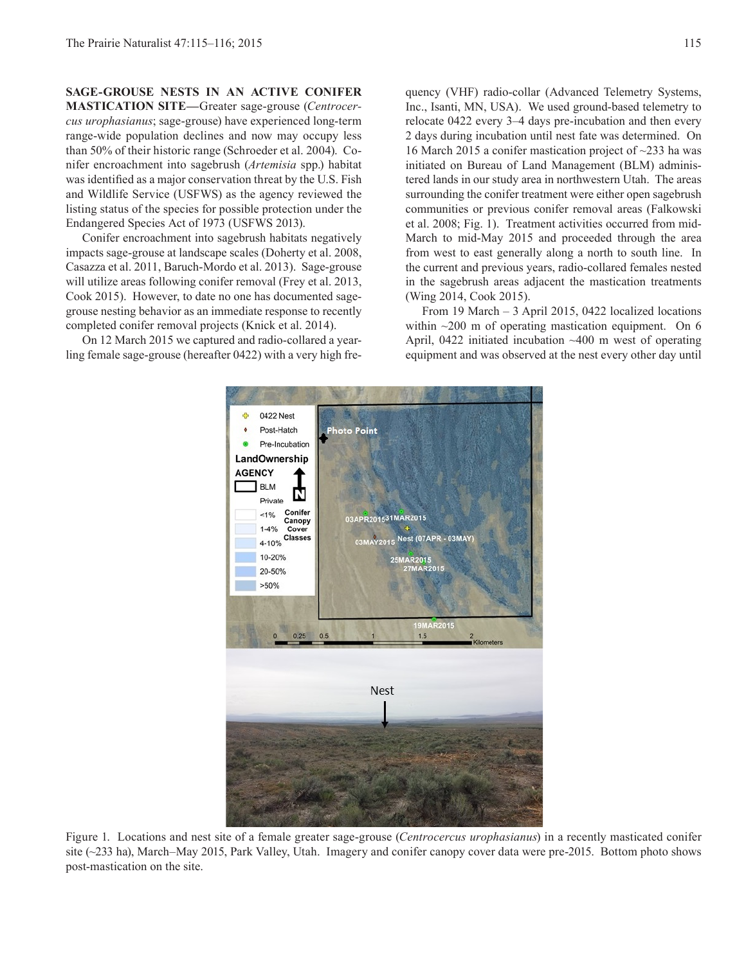**SAGE-GROUSE NESTS IN AN ACTIVE CONIFER MASTICATION SITE—**Greater sage-grouse (*Centrocercus urophasianus*; sage-grouse) have experienced long-term range-wide population declines and now may occupy less than 50% of their historic range (Schroeder et al. 2004). Conifer encroachment into sagebrush (*Artemisia* spp.) habitat was identified as a major conservation threat by the U.S. Fish and Wildlife Service (USFWS) as the agency reviewed the listing status of the species for possible protection under the Endangered Species Act of 1973 (USFWS 2013).

Conifer encroachment into sagebrush habitats negatively impacts sage-grouse at landscape scales (Doherty et al. 2008, Casazza et al. 2011, Baruch-Mordo et al. 2013). Sage-grouse will utilize areas following conifer removal (Frey et al. 2013, Cook 2015). However, to date no one has documented sagegrouse nesting behavior as an immediate response to recently completed conifer removal projects (Knick et al. 2014).

On 12 March 2015 we captured and radio-collared a yearling female sage-grouse (hereafter 0422) with a very high frequency (VHF) radio-collar (Advanced Telemetry Systems, Inc., Isanti, MN, USA). We used ground-based telemetry to relocate 0422 every 3–4 days pre-incubation and then every 2 days during incubation until nest fate was determined. On 16 March 2015 a conifer mastication project of ~233 ha was initiated on Bureau of Land Management (BLM) administered lands in our study area in northwestern Utah. The areas surrounding the conifer treatment were either open sagebrush communities or previous conifer removal areas (Falkowski et al. 2008; Fig. 1). Treatment activities occurred from mid-March to mid-May 2015 and proceeded through the area from west to east generally along a north to south line. In the current and previous years, radio-collared females nested in the sagebrush areas adjacent the mastication treatments (Wing 2014, Cook 2015).

From 19 March – 3 April 2015, 0422 localized locations within ~200 m of operating mastication equipment. On 6 April, 0422 initiated incubation ~400 m west of operating equipment and was observed at the nest every other day until  $\mathbf{A}_{\mathbf{r},\mathbf{r}}$  and  $\mathbf{A}_{\mathbf{r},\mathbf{r}}$  and  $\mathbf{A}_{\mathbf{r},\mathbf{r}}$ 



Figure 1. Locations and nest site of a female greater sage-grouse (Centrocercus urophasianus) in a recently masticated conifer site (~233 ha), March–May 2015, Park Valley, Utah. Imagery and conifer canopy cover data were pre-2015. Bottom photo shows post-mastication on the site.